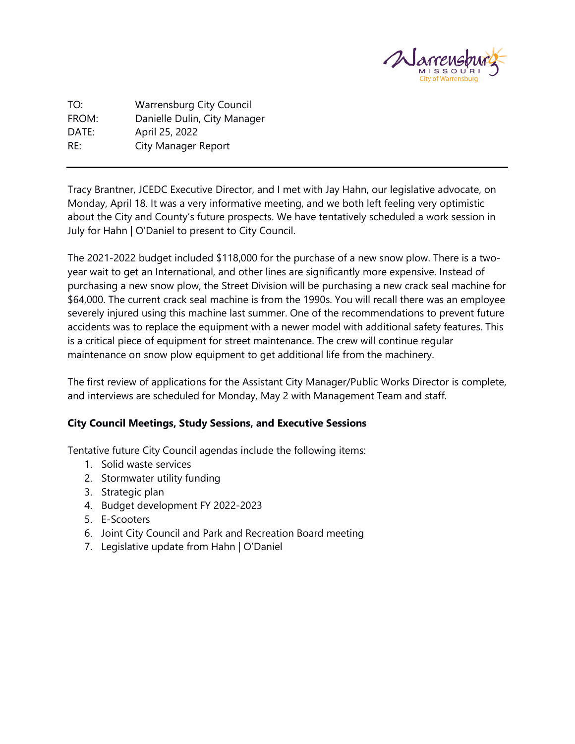

TO: Warrensburg City Council FROM: Danielle Dulin, City Manager DATE: April 25, 2022 RE: City Manager Report

Tracy Brantner, JCEDC Executive Director, and I met with Jay Hahn, our legislative advocate, on Monday, April 18. It was a very informative meeting, and we both left feeling very optimistic about the City and County's future prospects. We have tentatively scheduled a work session in July for Hahn | O'Daniel to present to City Council.

The 2021-2022 budget included \$118,000 for the purchase of a new snow plow. There is a twoyear wait to get an International, and other lines are significantly more expensive. Instead of purchasing a new snow plow, the Street Division will be purchasing a new crack seal machine for \$64,000. The current crack seal machine is from the 1990s. You will recall there was an employee severely injured using this machine last summer. One of the recommendations to prevent future accidents was to replace the equipment with a newer model with additional safety features. This is a critical piece of equipment for street maintenance. The crew will continue regular maintenance on snow plow equipment to get additional life from the machinery.

The first review of applications for the Assistant City Manager/Public Works Director is complete, and interviews are scheduled for Monday, May 2 with Management Team and staff.

### **City Council Meetings, Study Sessions, and Executive Sessions**

Tentative future City Council agendas include the following items:

- 1. Solid waste services
- 2. Stormwater utility funding
- 3. Strategic plan
- 4. Budget development FY 2022-2023
- 5. E-Scooters
- 6. Joint City Council and Park and Recreation Board meeting
- 7. Legislative update from Hahn | O'Daniel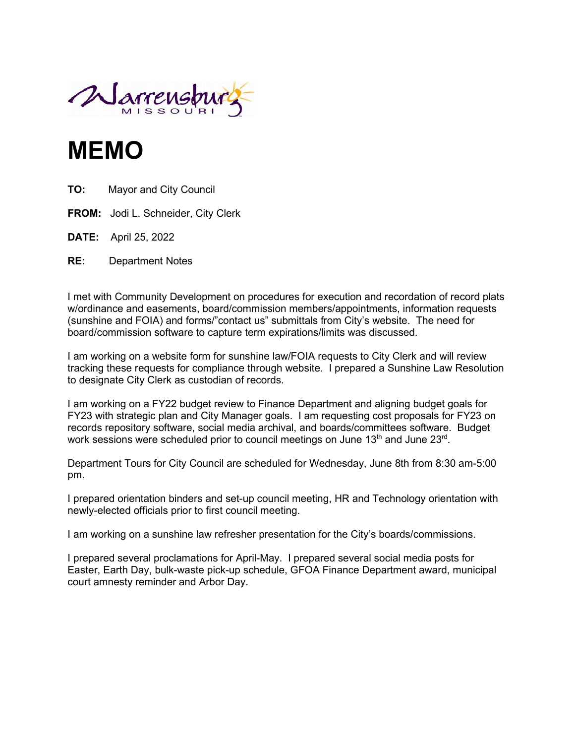

# **MEMO**

- **TO:** Mayor and City Council
- **FROM:** Jodi L. Schneider, City Clerk
- **DATE:** April 25, 2022
- **RE:** Department Notes

I met with Community Development on procedures for execution and recordation of record plats w/ordinance and easements, board/commission members/appointments, information requests (sunshine and FOIA) and forms/"contact us" submittals from City's website. The need for board/commission software to capture term expirations/limits was discussed.

I am working on a website form for sunshine law/FOIA requests to City Clerk and will review tracking these requests for compliance through website. I prepared a Sunshine Law Resolution to designate City Clerk as custodian of records.

I am working on a FY22 budget review to Finance Department and aligning budget goals for FY23 with strategic plan and City Manager goals. I am requesting cost proposals for FY23 on records repository software, social media archival, and boards/committees software. Budget work sessions were scheduled prior to council meetings on June 13<sup>th</sup> and June 23<sup>rd</sup>.

Department Tours for City Council are scheduled for Wednesday, June 8th from 8:30 am-5:00 pm.

I prepared orientation binders and set-up council meeting, HR and Technology orientation with newly-elected officials prior to first council meeting.

I am working on a sunshine law refresher presentation for the City's boards/commissions.

I prepared several proclamations for April-May. I prepared several social media posts for Easter, Earth Day, bulk-waste pick-up schedule, GFOA Finance Department award, municipal court amnesty reminder and Arbor Day.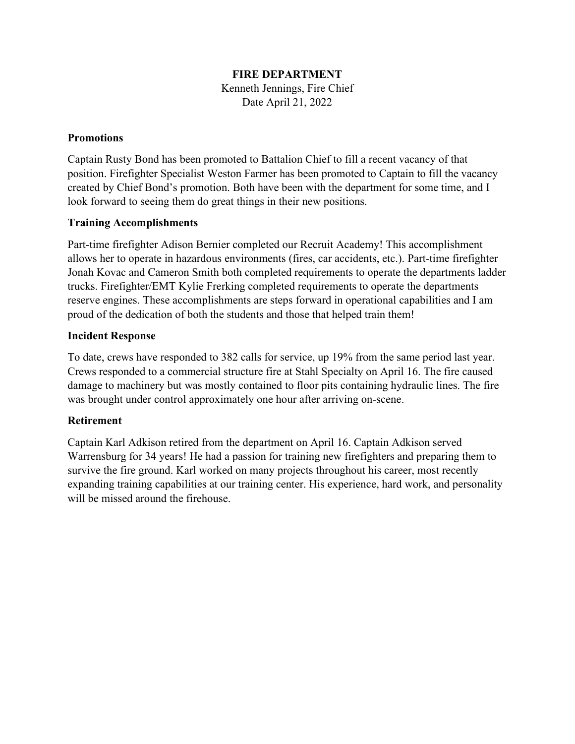### **FIRE DEPARTMENT**

Kenneth Jennings, Fire Chief Date April 21, 2022

### **Promotions**

Captain Rusty Bond has been promoted to Battalion Chief to fill a recent vacancy of that position. Firefighter Specialist Weston Farmer has been promoted to Captain to fill the vacancy created by Chief Bond's promotion. Both have been with the department for some time, and I look forward to seeing them do great things in their new positions.

### **Training Accomplishments**

Part-time firefighter Adison Bernier completed our Recruit Academy! This accomplishment allows her to operate in hazardous environments (fires, car accidents, etc.). Part-time firefighter Jonah Kovac and Cameron Smith both completed requirements to operate the departments ladder trucks. Firefighter/EMT Kylie Frerking completed requirements to operate the departments reserve engines. These accomplishments are steps forward in operational capabilities and I am proud of the dedication of both the students and those that helped train them!

### **Incident Response**

To date, crews have responded to 382 calls for service, up 19% from the same period last year. Crews responded to a commercial structure fire at Stahl Specialty on April 16. The fire caused damage to machinery but was mostly contained to floor pits containing hydraulic lines. The fire was brought under control approximately one hour after arriving on-scene.

### **Retirement**

Captain Karl Adkison retired from the department on April 16. Captain Adkison served Warrensburg for 34 years! He had a passion for training new firefighters and preparing them to survive the fire ground. Karl worked on many projects throughout his career, most recently expanding training capabilities at our training center. His experience, hard work, and personality will be missed around the firehouse.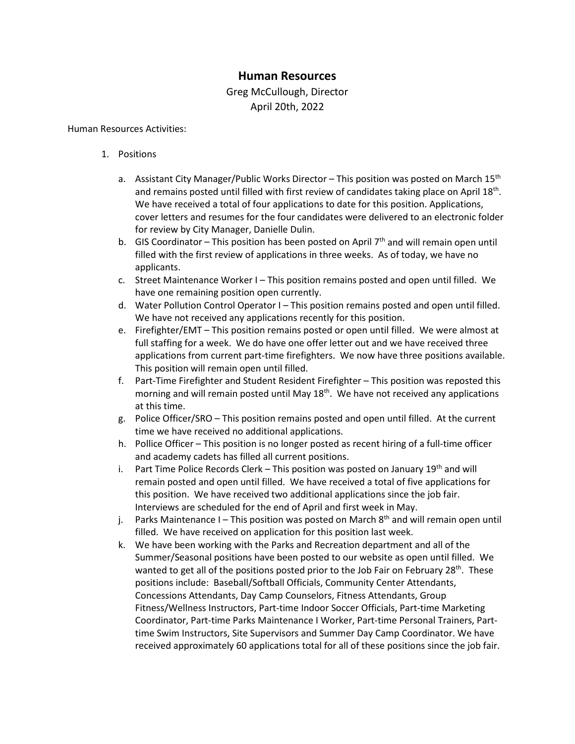### **Human Resources**

### Greg McCullough, Director April 20th, 2022

### Human Resources Activities:

- 1. Positions
	- a. Assistant City Manager/Public Works Director This position was posted on March  $15<sup>th</sup>$ and remains posted until filled with first review of candidates taking place on April 18th. We have received a total of four applications to date for this position. Applications, cover letters and resumes for the four candidates were delivered to an electronic folder for review by City Manager, Danielle Dulin.
	- b. GIS Coordinator This position has been posted on April  $7<sup>th</sup>$  and will remain open until filled with the first review of applications in three weeks. As of today, we have no applicants.
	- c. Street Maintenance Worker I This position remains posted and open until filled. We have one remaining position open currently.
	- d. Water Pollution Control Operator I This position remains posted and open until filled. We have not received any applications recently for this position.
	- e. Firefighter/EMT This position remains posted or open until filled. We were almost at full staffing for a week. We do have one offer letter out and we have received three applications from current part-time firefighters. We now have three positions available. This position will remain open until filled.
	- f. Part-Time Firefighter and Student Resident Firefighter This position was reposted this morning and will remain posted until May  $18<sup>th</sup>$ . We have not received any applications at this time.
	- g. Police Officer/SRO This position remains posted and open until filled. At the current time we have received no additional applications.
	- h. Pollice Officer This position is no longer posted as recent hiring of a full-time officer and academy cadets has filled all current positions.
	- i. Part Time Police Records Clerk This position was posted on January  $19^{th}$  and will remain posted and open until filled. We have received a total of five applications for this position. We have received two additional applications since the job fair. Interviews are scheduled for the end of April and first week in May.
	- j. Parks Maintenance I This position was posted on March  $8<sup>th</sup>$  and will remain open until filled. We have received on application for this position last week.
	- k. We have been working with the Parks and Recreation department and all of the Summer/Seasonal positions have been posted to our website as open until filled. We wanted to get all of the positions posted prior to the Job Fair on February  $28^{th}$ . These positions include: Baseball/Softball Officials, Community Center Attendants, Concessions Attendants, Day Camp Counselors, Fitness Attendants, Group Fitness/Wellness Instructors, Part-time Indoor Soccer Officials, Part-time Marketing Coordinator, Part-time Parks Maintenance I Worker, Part-time Personal Trainers, Parttime Swim Instructors, Site Supervisors and Summer Day Camp Coordinator. We have received approximately 60 applications total for all of these positions since the job fair.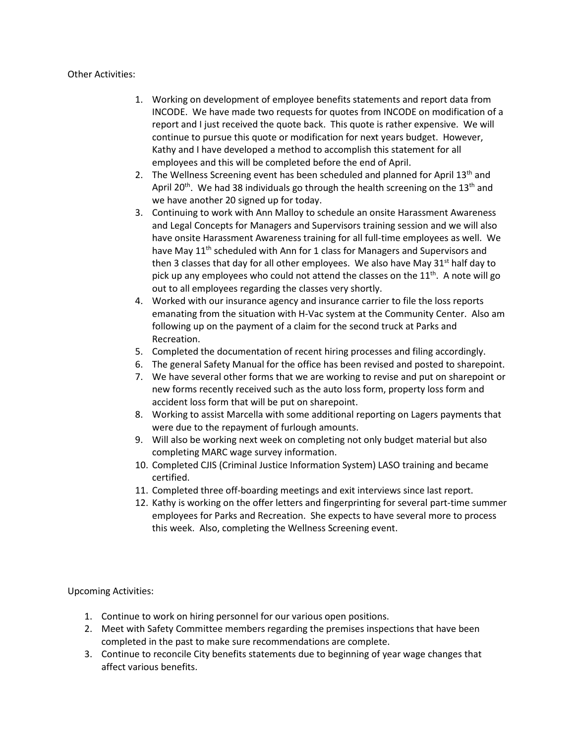### Other Activities:

- 1. Working on development of employee benefits statements and report data from INCODE. We have made two requests for quotes from INCODE on modification of a report and I just received the quote back. This quote is rather expensive. We will continue to pursue this quote or modification for next years budget. However, Kathy and I have developed a method to accomplish this statement for all employees and this will be completed before the end of April.
- 2. The Wellness Screening event has been scheduled and planned for April  $13<sup>th</sup>$  and April 20<sup>th</sup>. We had 38 individuals go through the health screening on the 13<sup>th</sup> and we have another 20 signed up for today.
- 3. Continuing to work with Ann Malloy to schedule an onsite Harassment Awareness and Legal Concepts for Managers and Supervisors training session and we will also have onsite Harassment Awareness training for all full-time employees as well. We have May 11<sup>th</sup> scheduled with Ann for 1 class for Managers and Supervisors and then 3 classes that day for all other employees. We also have May  $31<sup>st</sup>$  half day to pick up any employees who could not attend the classes on the  $11<sup>th</sup>$ . A note will go out to all employees regarding the classes very shortly.
- 4. Worked with our insurance agency and insurance carrier to file the loss reports emanating from the situation with H-Vac system at the Community Center. Also am following up on the payment of a claim for the second truck at Parks and Recreation.
- 5. Completed the documentation of recent hiring processes and filing accordingly.
- 6. The general Safety Manual for the office has been revised and posted to sharepoint.
- 7. We have several other forms that we are working to revise and put on sharepoint or new forms recently received such as the auto loss form, property loss form and accident loss form that will be put on sharepoint.
- 8. Working to assist Marcella with some additional reporting on Lagers payments that were due to the repayment of furlough amounts.
- 9. Will also be working next week on completing not only budget material but also completing MARC wage survey information.
- 10. Completed CJIS (Criminal Justice Information System) LASO training and became certified.
- 11. Completed three off-boarding meetings and exit interviews since last report.
- 12. Kathy is working on the offer letters and fingerprinting for several part-time summer employees for Parks and Recreation. She expects to have several more to process this week. Also, completing the Wellness Screening event.

Upcoming Activities:

- 1. Continue to work on hiring personnel for our various open positions.
- 2. Meet with Safety Committee members regarding the premises inspections that have been completed in the past to make sure recommendations are complete.
- 3. Continue to reconcile City benefits statements due to beginning of year wage changes that affect various benefits.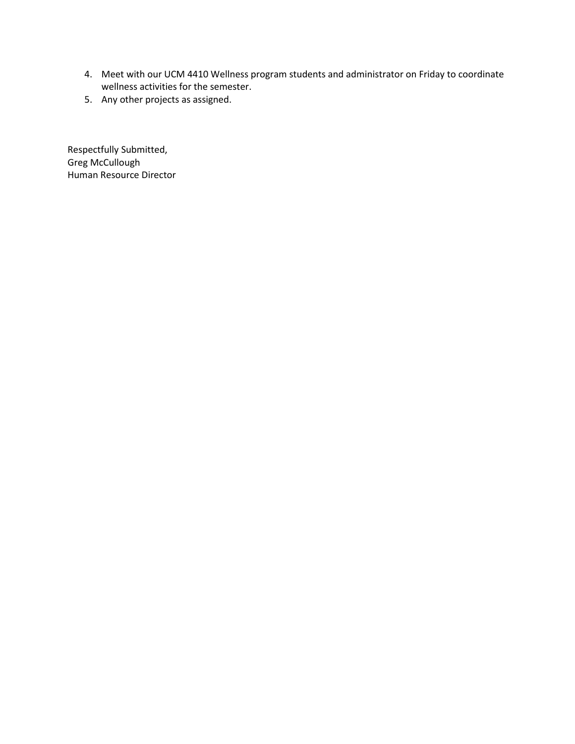- 4. Meet with our UCM 4410 Wellness program students and administrator on Friday to coordinate wellness activities for the semester.
- 5. Any other projects as assigned.

Respectfully Submitted, Greg McCullough Human Resource Director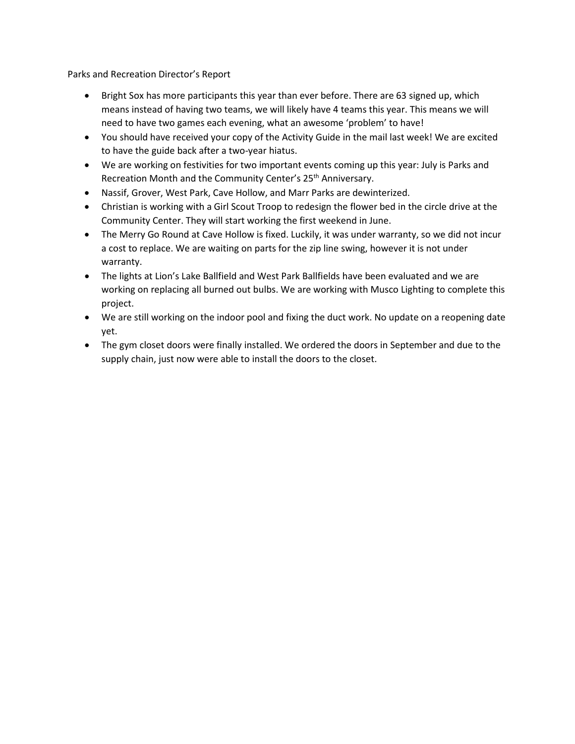Parks and Recreation Director's Report

- Bright Sox has more participants this year than ever before. There are 63 signed up, which means instead of having two teams, we will likely have 4 teams this year. This means we will need to have two games each evening, what an awesome 'problem' to have!
- You should have received your copy of the Activity Guide in the mail last week! We are excited to have the guide back after a two-year hiatus.
- We are working on festivities for two important events coming up this year: July is Parks and Recreation Month and the Community Center's 25<sup>th</sup> Anniversary.
- Nassif, Grover, West Park, Cave Hollow, and Marr Parks are dewinterized.
- Christian is working with a Girl Scout Troop to redesign the flower bed in the circle drive at the Community Center. They will start working the first weekend in June.
- The Merry Go Round at Cave Hollow is fixed. Luckily, it was under warranty, so we did not incur a cost to replace. We are waiting on parts for the zip line swing, however it is not under warranty.
- The lights at Lion's Lake Ballfield and West Park Ballfields have been evaluated and we are working on replacing all burned out bulbs. We are working with Musco Lighting to complete this project.
- We are still working on the indoor pool and fixing the duct work. No update on a reopening date yet.
- The gym closet doors were finally installed. We ordered the doors in September and due to the supply chain, just now were able to install the doors to the closet.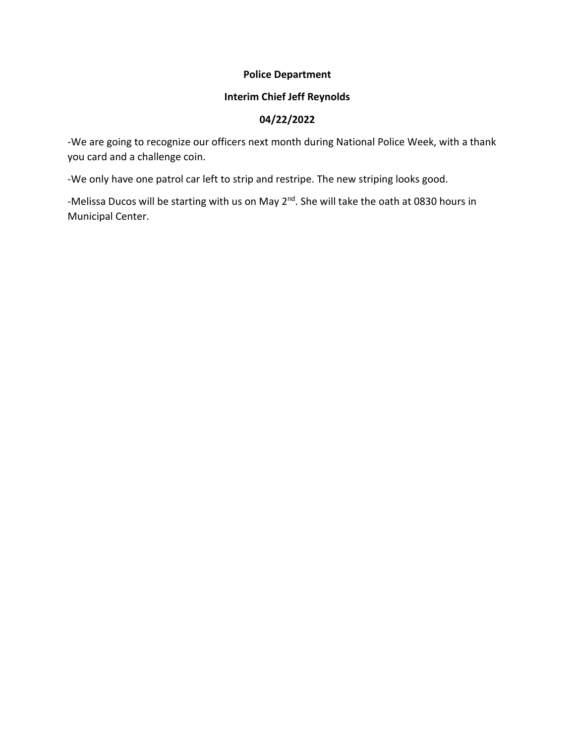### **Police Department**

### **Interim Chief Jeff Reynolds**

### **04/22/2022**

-We are going to recognize our officers next month during National Police Week, with a thank you card and a challenge coin.

-We only have one patrol car left to strip and restripe. The new striping looks good.

-Melissa Ducos will be starting with us on May 2<sup>nd</sup>. She will take the oath at 0830 hours in Municipal Center.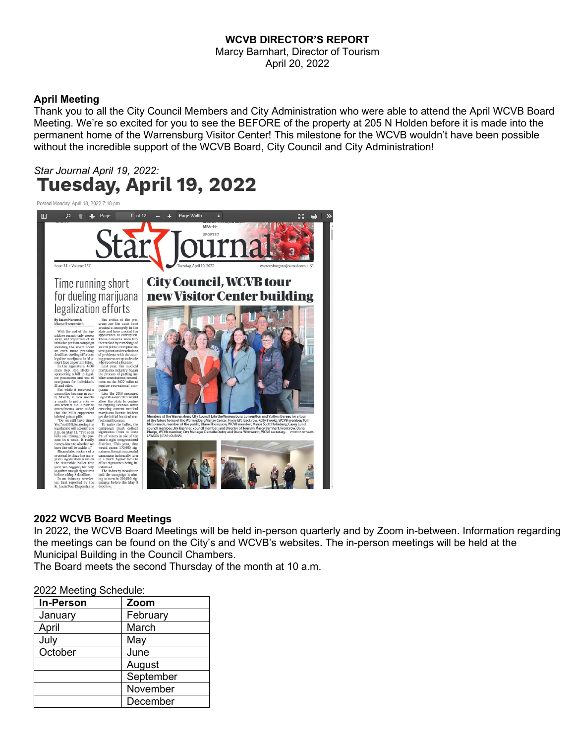### **WCVB DIRECTOR'S REPORT**

Marcy Barnhart, Director of Tourism April 20, 2022

### **April Meeting**

Thank you to all the City Council Members and City Administration who were able to attend the April WCVB Board Meeting. We're so excited for you to see the BEFORE of the property at 205 N Holden before it is made into the permanent home of the Warrensburg Visitor Center! This milestone for the WCVB wouldn't have been possible without the incredible support of the WCVB Board, City Council and City Administration!

# *Star Journal April 19, 2022:*

Posted Monday, April 18, 2022 7:18 pm



### **2022 WCVB Board Meetings**

In 2022, the WCVB Board Meetings will be held in-person quarterly and by Zoom in-between. Information regarding the meetings can be found on the City's and WCVB's websites. The in-person meetings will be held at the Municipal Building in the Council Chambers.

The Board meets the second Thursday of the month at 10 a.m.

#### 2022 Meeting Schedule:

| <b>In-Person</b> | Zoom      |
|------------------|-----------|
| January          | February  |
| April            | March     |
| July             | May       |
| October          | June      |
|                  | August    |
|                  | September |
|                  | November  |
|                  | December  |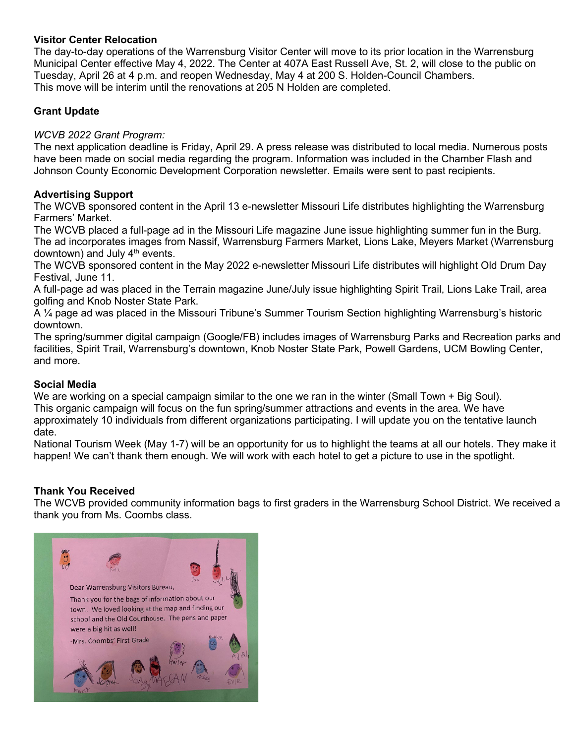### **Visitor Center Relocation**

The day-to-day operations of the Warrensburg Visitor Center will move to its prior location in the Warrensburg Municipal Center effective May 4, 2022. The Center at 407A East Russell Ave, St. 2, will close to the public on Tuesday, April 26 at 4 p.m. and reopen Wednesday, May 4 at 200 S. Holden-Council Chambers. This move will be interim until the renovations at 205 N Holden are completed.

### **Grant Update**

### *WCVB 2022 Grant Program:*

The next application deadline is Friday, April 29. A press release was distributed to local media. Numerous posts have been made on social media regarding the program. Information was included in the Chamber Flash and Johnson County Economic Development Corporation newsletter. Emails were sent to past recipients.

### **Advertising Support**

The WCVB sponsored content in the April 13 e-newsletter Missouri Life distributes highlighting the Warrensburg Farmers' Market.

The WCVB placed a full-page ad in the Missouri Life magazine June issue highlighting summer fun in the Burg. The ad incorporates images from Nassif, Warrensburg Farmers Market, Lions Lake, Meyers Market (Warrensburg downtown) and July  $4<sup>th</sup>$  events.

The WCVB sponsored content in the May 2022 e-newsletter Missouri Life distributes will highlight Old Drum Day Festival, June 11.

A full-page ad was placed in the Terrain magazine June/July issue highlighting Spirit Trail, Lions Lake Trail, area golfing and Knob Noster State Park.

A ¼ page ad was placed in the Missouri Tribune's Summer Tourism Section highlighting Warrensburg's historic downtown.

The spring/summer digital campaign (Google/FB) includes images of Warrensburg Parks and Recreation parks and facilities, Spirit Trail, Warrensburg's downtown, Knob Noster State Park, Powell Gardens, UCM Bowling Center, and more.

### **Social Media**

We are working on a special campaign similar to the one we ran in the winter (Small Town + Big Soul). This organic campaign will focus on the fun spring/summer attractions and events in the area. We have approximately 10 individuals from different organizations participating. I will update you on the tentative launch date.

National Tourism Week (May 1-7) will be an opportunity for us to highlight the teams at all our hotels. They make it happen! We can't thank them enough. We will work with each hotel to get a picture to use in the spotlight.

### **Thank You Received**

The WCVB provided community information bags to first graders in the Warrensburg School District. We received a thank you from Ms. Coombs class.

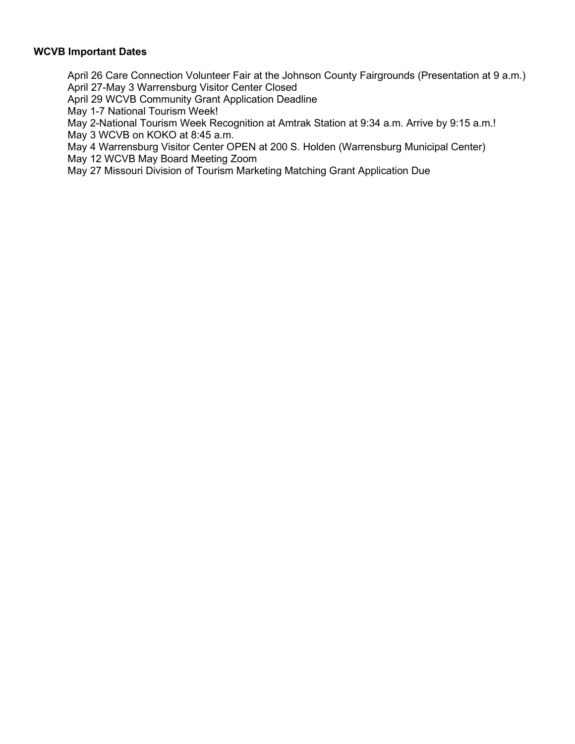### **WCVB Important Dates**

April 26 Care Connection Volunteer Fair at the Johnson County Fairgrounds (Presentation at 9 a.m.) April 27-May 3 Warrensburg Visitor Center Closed

April 29 WCVB Community Grant Application Deadline

May 1-7 National Tourism Week!

May 2-National Tourism Week Recognition at Amtrak Station at 9:34 a.m. Arrive by 9:15 a.m.! May 3 WCVB on KOKO at 8:45 a.m.

May 4 Warrensburg Visitor Center OPEN at 200 S. Holden (Warrensburg Municipal Center) May 12 WCVB May Board Meeting Zoom

May 27 Missouri Division of Tourism Marketing Matching Grant Application Due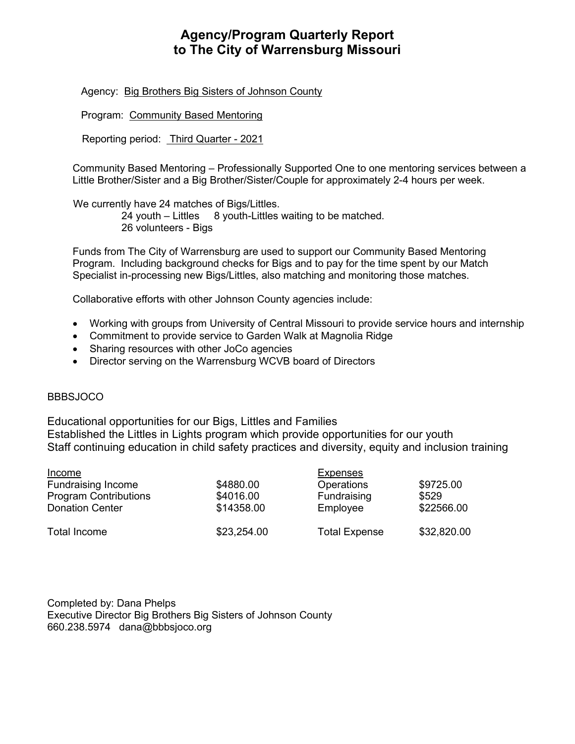## **Agency/Program Quarterly Report to The City of Warrensburg Missouri**

Agency: Big Brothers Big Sisters of Johnson County

Program: Community Based Mentoring

Reporting period: Third Quarter - 2021

Community Based Mentoring – Professionally Supported One to one mentoring services between a Little Brother/Sister and a Big Brother/Sister/Couple for approximately 2-4 hours per week.

 We currently have 24 matches of Bigs/Littles. 24 youth – Littles 8 youth-Littles waiting to be matched. 26 volunteers - Bigs

Funds from The City of Warrensburg are used to support our Community Based Mentoring Program. Including background checks for Bigs and to pay for the time spent by our Match Specialist in-processing new Bigs/Littles, also matching and monitoring those matches.

Collaborative efforts with other Johnson County agencies include:

- Working with groups from University of Central Missouri to provide service hours and internship
- Commitment to provide service to Garden Walk at Magnolia Ridge
- Sharing resources with other JoCo agencies
- Director serving on the Warrensburg WCVB board of Directors

### **BBBSJOCO**

Educational opportunities for our Bigs, Littles and Families Established the Littles in Lights program which provide opportunities for our youth Staff continuing education in child safety practices and diversity, equity and inclusion training

| <u>Income</u>                | <b>Expenses</b> |                      |             |
|------------------------------|-----------------|----------------------|-------------|
| <b>Fundraising Income</b>    | \$4880.00       | <b>Operations</b>    | \$9725.00   |
| <b>Program Contributions</b> | \$4016.00       | Fundraising          | \$529       |
| <b>Donation Center</b>       | \$14358.00      | Employee             | \$22566.00  |
| Total Income                 | \$23,254.00     | <b>Total Expense</b> | \$32,820.00 |

Completed by: Dana Phelps Executive Director Big Brothers Big Sisters of Johnson County 660.238.5974 dana@bbbsjoco.org